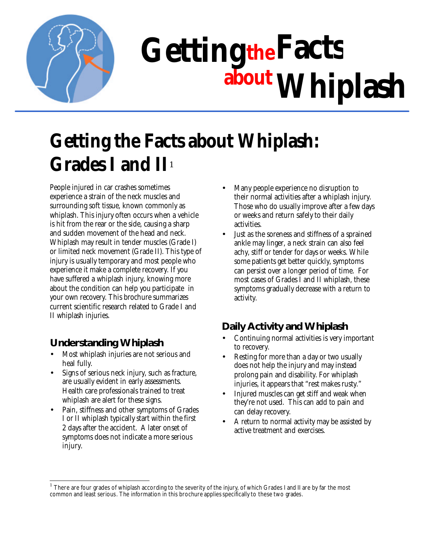

# **theFacts Getting about Whiplash**

# **Getting the Facts about Whiplash: Grades I and II**<sup>1</sup>

People injured in car crashes sometimes experience a strain of the neck muscles and surrounding soft tissue, known commonly as whiplash. This injury often occurs when a vehicle is hit from the rear or the side, causing a sharp and sudden movement of the head and neck. Whiplash may result in tender muscles (Grade I) or limited neck movement (Grade II). This type of injury is usually temporary and most people who experience it make a complete recovery. If you have suffered a whiplash injury, knowing more about the condition can help you participate in your own recovery. This brochure summarizes current scientific research related to Grade I and II whiplash injuries.

# **Understanding Whiplash**

- Most whiplash injuries are not serious and heal fully.
- Signs of serious neck injury, such as fracture, are usually evident in early assessments. Health care professionals trained to treat whiplash are alert for these signs.
- Pain, stiffness and other symptoms of Grades I or II whiplash typically start within the first 2 days after the accident. A later onset of symptoms does not indicate a more serious injury.
- Many people experience no disruption to their normal activities after a whiplash injury. Those who do usually improve after a few days or weeks and return safely to their daily activities.
- Just as the soreness and stiffness of a sprained ankle may linger, a neck strain can also feel achy, stiff or tender for days or weeks. While some patients get better quickly, symptoms can persist over a longer period of time. For most cases of Grades I and II whiplash, these symptoms gradually decrease with a return to activity.

# **Daily Activity and Whiplash**

- Continuing normal activities is very important to recovery.
- Resting for more than a day or two usually does not help the injury and may instead prolong pain and disability. For whiplash injuries, it appears that "rest makes rusty."
- Injured muscles can get stiff and weak when they're not used. This can add to pain and can delay recovery.
- A return to normal activity may be assisted by active treatment and exercises.

 1 There are four grades of whiplash according to the severity of the injury, of which Grades I and II are by far the most common and least serious. The information in this brochure applies specifically to these two grades.